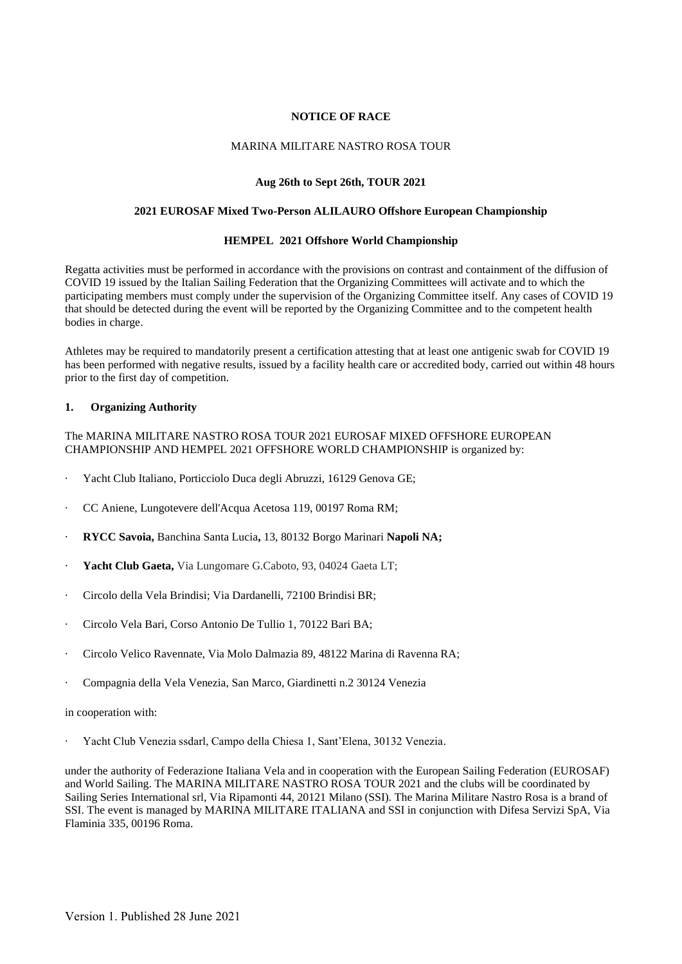# **NOTICE OF RACE**

### MARINA MILITARE NASTRO ROSA TOUR

### **Aug 26th to Sept 26th, TOUR 2021**

### **2021 EUROSAF Mixed Two-Person ALILAURO Offshore European Championship**

#### **HEMPEL 2021 Offshore World Championship**

Regatta activities must be performed in accordance with the provisions on contrast and containment of the diffusion of COVID 19 issued by the Italian Sailing Federation that the Organizing Committees will activate and to which the participating members must comply under the supervision of the Organizing Committee itself. Any cases of COVID 19 that should be detected during the event will be reported by the Organizing Committee and to the competent health bodies in charge.

Athletes may be required to mandatorily present a certification attesting that at least one antigenic swab for COVID 19 has been performed with negative results, issued by a facility health care or accredited body, carried out within 48 hours prior to the first day of competition.

#### **1. Organizing Authority**

The MARINA MILITARE NASTRO ROSA TOUR 2021 EUROSAF MIXED OFFSHORE EUROPEAN CHAMPIONSHIP AND HEMPEL 2021 OFFSHORE WORLD CHAMPIONSHIP is organized by:

- · Yacht Club Italiano, Porticciolo Duca degli Abruzzi, 16129 Genova GE;
- · CC Aniene, Lungotevere dell'Acqua Acetosa 119, 00197 Roma RM;
- · **RYCC Savoia,** Banchina Santa Lucia**,** 13, 80132 Borgo Marinari **Napoli NA;**
- Yacht Club Gaeta, Via Lungomare G.Caboto, 93, 04024 Gaeta LT;
- · Circolo della Vela Brindisi; Via Dardanelli, 72100 Brindisi BR;
- · Circolo Vela Bari, Corso Antonio De Tullio 1, 70122 Bari BA;
- · Circolo Velico Ravennate, Via Molo Dalmazia 89, 48122 Marina di Ravenna RA;
- · Compagnia della Vela Venezia, San Marco, Giardinetti n.2 30124 Venezia

#### in cooperation with:

· Yacht Club Venezia ssdarl, Campo della Chiesa 1, Sant'Elena, 30132 Venezia.

under the authority of Federazione Italiana Vela and in cooperation with the European Sailing Federation (EUROSAF) and World Sailing. The MARINA MILITARE NASTRO ROSA TOUR 2021 and the clubs will be coordinated by Sailing Series International srl, Via Ripamonti 44, 20121 Milano (SSI). The Marina Militare Nastro Rosa is a brand of SSI. The event is managed by MARINA MILITARE ITALIANA and SSI in conjunction with Difesa Servizi SpA, Via Flaminia 335, 00196 Roma.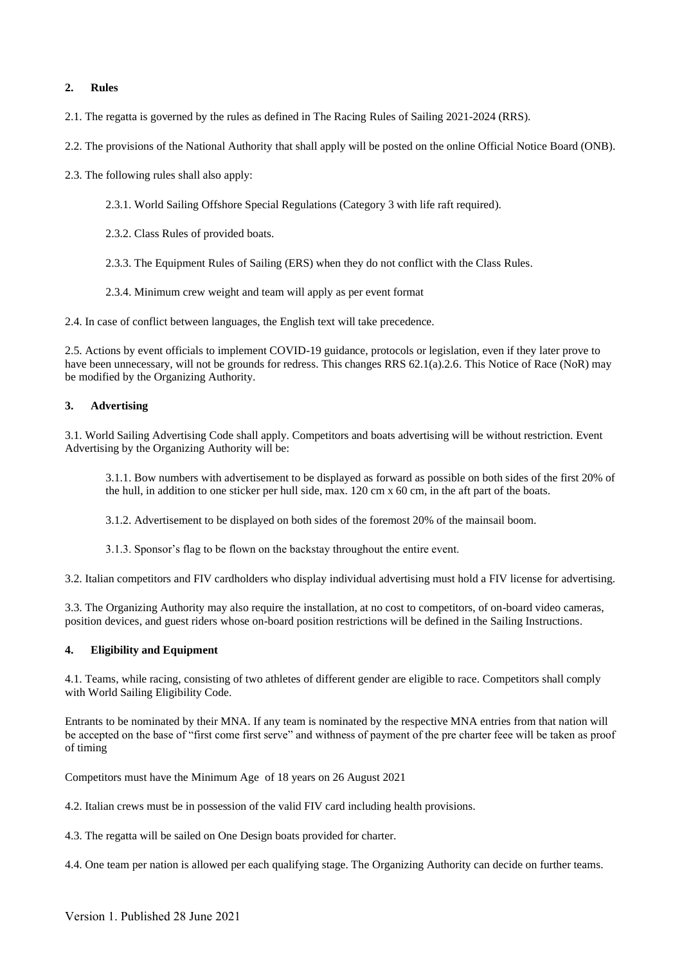# **2. Rules**

- 2.1. The regatta is governed by the rules as defined in The Racing Rules of Sailing 2021-2024 (RRS).
- 2.2. The provisions of the National Authority that shall apply will be posted on the online Official Notice Board (ONB).
- 2.3. The following rules shall also apply:
	- 2.3.1. World Sailing Offshore Special Regulations (Category 3 with life raft required).
	- 2.3.2. Class Rules of provided boats.
	- 2.3.3. The Equipment Rules of Sailing (ERS) when they do not conflict with the Class Rules.
	- 2.3.4. Minimum crew weight and team will apply as per event format

2.4. In case of conflict between languages, the English text will take precedence.

2.5. Actions by event officials to implement COVID-19 guidance, protocols or legislation, even if they later prove to have been unnecessary, will not be grounds for redress. This changes RRS 62.1(a).2.6. This Notice of Race (NoR) may be modified by the Organizing Authority.

# **3. Advertising**

3.1. World Sailing Advertising Code shall apply. Competitors and boats advertising will be without restriction. Event Advertising by the Organizing Authority will be:

3.1.1. Bow numbers with advertisement to be displayed as forward as possible on both sides of the first 20% of the hull, in addition to one sticker per hull side, max. 120 cm x 60 cm, in the aft part of the boats.

3.1.2. Advertisement to be displayed on both sides of the foremost 20% of the mainsail boom.

3.1.3. Sponsor's flag to be flown on the backstay throughout the entire event.

3.2. Italian competitors and FIV cardholders who display individual advertising must hold a FIV license for advertising.

3.3. The Organizing Authority may also require the installation, at no cost to competitors, of on-board video cameras, position devices, and guest riders whose on-board position restrictions will be defined in the Sailing Instructions.

# **4. Eligibility and Equipment**

4.1. Teams, while racing, consisting of two athletes of different gender are eligible to race. Competitors shall comply with World Sailing Eligibility Code.

Entrants to be nominated by their MNA. If any team is nominated by the respective MNA entries from that nation will be accepted on the base of "first come first serve" and withness of payment of the pre charter feee will be taken as proof of timing

Competitors must have the Minimum Age of 18 years on 26 August 2021

4.2. Italian crews must be in possession of the valid FIV card including health provisions.

4.3. The regatta will be sailed on One Design boats provided for charter.

4.4. One team per nation is allowed per each qualifying stage. The Organizing Authority can decide on further teams.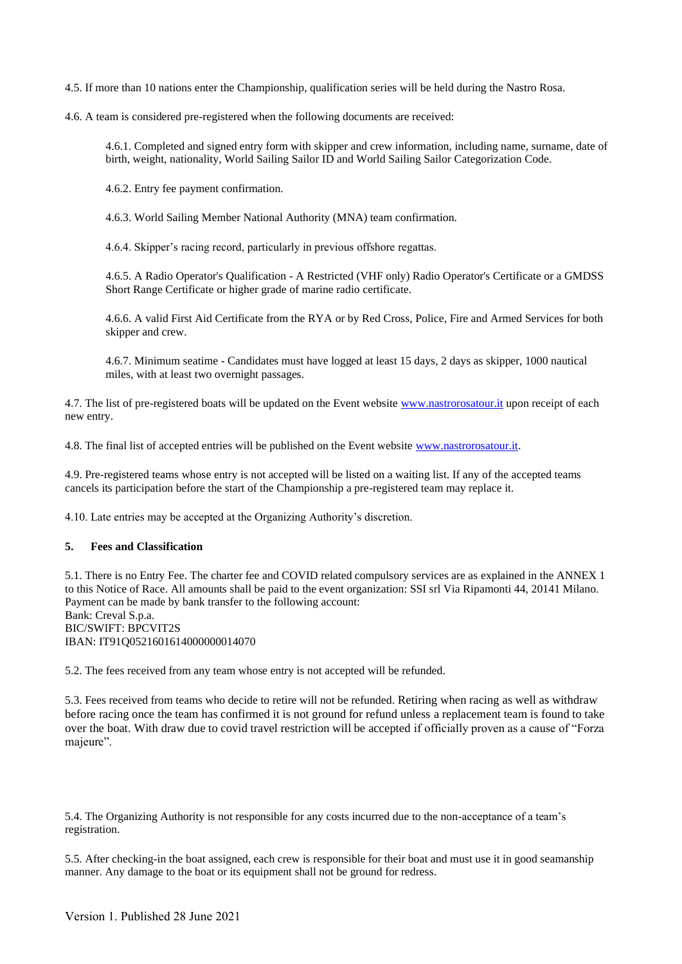4.5. If more than 10 nations enter the Championship, qualification series will be held during the Nastro Rosa.

4.6. A team is considered pre-registered when the following documents are received:

4.6.1. Completed and signed entry form with skipper and crew information, including name, surname, date of birth, weight, nationality, World Sailing Sailor ID and World Sailing Sailor Categorization Code.

4.6.2. Entry fee payment confirmation.

4.6.3. World Sailing Member National Authority (MNA) team confirmation.

4.6.4. Skipper's racing record, particularly in previous offshore regattas.

4.6.5. A Radio Operator's Qualification - A Restricted (VHF only) Radio Operator's Certificate or a GMDSS Short Range Certificate or higher grade of marine radio certificate.

4.6.6. A valid First Aid Certificate from the RYA or by Red Cross, Police, Fire and Armed Services for both skipper and crew.

4.6.7. Minimum seatime - Candidates must have logged at least 15 days, 2 days as skipper, 1000 nautical miles, with at least two overnight passages.

4.7. The list of pre-registered boats will be updated on the Event websit[e www.nastrorosatour.it](http://www.nastrorosatour.it/) upon receipt of each new entry.

4.8. The final list of accepted entries will be published on the Event websit[e www.nastrorosatour.it.](http://www.nastrorosatour.it/)

4.9. Pre-registered teams whose entry is not accepted will be listed on a waiting list. If any of the accepted teams cancels its participation before the start of the Championship a pre-registered team may replace it.

4.10. Late entries may be accepted at the Organizing Authority's discretion.

### **5. Fees and Classification**

5.1. There is no Entry Fee. The charter fee and COVID related compulsory services are as explained in the ANNEX 1 to this Notice of Race. All amounts shall be paid to the event organization: SSI srl Via Ripamonti 44, 20141 Milano. Payment can be made by bank transfer to the following account: Bank: Creval S.p.a. BIC/SWIFT: BPCVIT2S IBAN: IT91Q0521601614000000014070

5.2. The fees received from any team whose entry is not accepted will be refunded.

5.3. Fees received from teams who decide to retire will not be refunded. Retiring when racing as well as withdraw before racing once the team has confirmed it is not ground for refund unless a replacement team is found to take over the boat. With draw due to covid travel restriction will be accepted if officially proven as a cause of "Forza majeure".

5.4. The Organizing Authority is not responsible for any costs incurred due to the non-acceptance of a team's registration.

5.5. After checking-in the boat assigned, each crew is responsible for their boat and must use it in good seamanship manner. Any damage to the boat or its equipment shall not be ground for redress.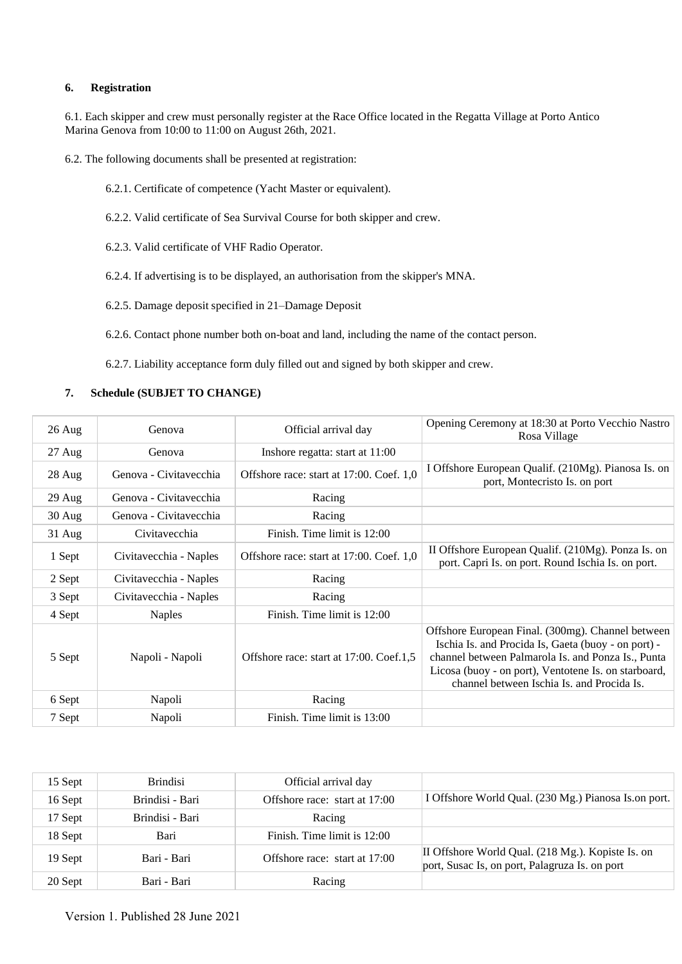## **6. Registration**

6.1. Each skipper and crew must personally register at the Race Office located in the Regatta Village at Porto Antico Marina Genova from 10:00 to 11:00 on August 26th, 2021.

6.2. The following documents shall be presented at registration:

- 6.2.1. Certificate of competence (Yacht Master or equivalent).
- 6.2.2. Valid certificate of Sea Survival Course for both skipper and crew.
- 6.2.3. Valid certificate of VHF Radio Operator.
- 6.2.4. If advertising is to be displayed, an authorisation from the skipper's MNA.
- 6.2.5. Damage deposit specified in 21–Damage Deposit
- 6.2.6. Contact phone number both on-boat and land, including the name of the contact person.

6.2.7. Liability acceptance form duly filled out and signed by both skipper and crew.

### **7. Schedule (SUBJET TO CHANGE)**

| $26 \text{ Aug}$ | Genova                 | Official arrival day                     | Opening Ceremony at 18:30 at Porto Vecchio Nastro<br>Rosa Village                                                                                                                                                                                                    |
|------------------|------------------------|------------------------------------------|----------------------------------------------------------------------------------------------------------------------------------------------------------------------------------------------------------------------------------------------------------------------|
| $27 \text{ Aug}$ | Genova                 | Inshore regatta: start at 11:00          |                                                                                                                                                                                                                                                                      |
| $28$ Aug         | Genova - Civitavecchia | Offshore race: start at 17:00. Coef. 1,0 | I Offshore European Qualif. (210Mg). Pianosa Is. on<br>port, Montecristo Is. on port                                                                                                                                                                                 |
| $29$ Aug         | Genova - Civitavecchia | Racing                                   |                                                                                                                                                                                                                                                                      |
| $30$ Aug         | Genova - Civitavecchia | Racing                                   |                                                                                                                                                                                                                                                                      |
| $31$ Aug         | Civitavecchia          | Finish. Time limit is 12:00              |                                                                                                                                                                                                                                                                      |
| 1 Sept           | Civitavecchia - Naples | Offshore race: start at 17:00. Coef. 1,0 | II Offshore European Qualif. (210Mg). Ponza Is. on<br>port. Capri Is. on port. Round Ischia Is. on port.                                                                                                                                                             |
| 2 Sept           | Civitavecchia - Naples | Racing                                   |                                                                                                                                                                                                                                                                      |
| 3 Sept           | Civitavecchia - Naples | Racing                                   |                                                                                                                                                                                                                                                                      |
| 4 Sept           | Naples                 | Finish. Time limit is 12:00              |                                                                                                                                                                                                                                                                      |
| 5 Sept           | Napoli - Napoli        | Offshore race: start at 17:00. Coef.1,5  | Offshore European Final. (300mg). Channel between<br>Ischia Is. and Procida Is, Gaeta (buoy - on port) -<br>channel between Palmarola Is. and Ponza Is., Punta<br>Licosa (buoy - on port), Ventotene Is. on starboard,<br>channel between Ischia Is, and Procida Is. |
| 6 Sept           | Napoli                 | Racing                                   |                                                                                                                                                                                                                                                                      |
| 7 Sept           | Napoli                 | Finish. Time limit is 13:00              |                                                                                                                                                                                                                                                                      |

| 15 Sept | <b>Brindisi</b> | Official arrival day          |                                                                                                     |
|---------|-----------------|-------------------------------|-----------------------------------------------------------------------------------------------------|
| 16 Sept | Brindisi - Bari | Offshore race: start at 17:00 | I Offshore World Qual. (230 Mg.) Pianosa Is. on port.                                               |
| 17 Sept | Brindisi - Bari | Racing                        |                                                                                                     |
| 18 Sept | Bari            | Finish. Time limit is 12:00   |                                                                                                     |
| 19 Sept | Bari - Bari     | Offshore race: start at 17:00 | II Offshore World Qual. (218 Mg.). Kopiste Is. on<br>port, Susac Is, on port, Palagruza Is. on port |
| 20 Sept | Bari - Bari     | Racing                        |                                                                                                     |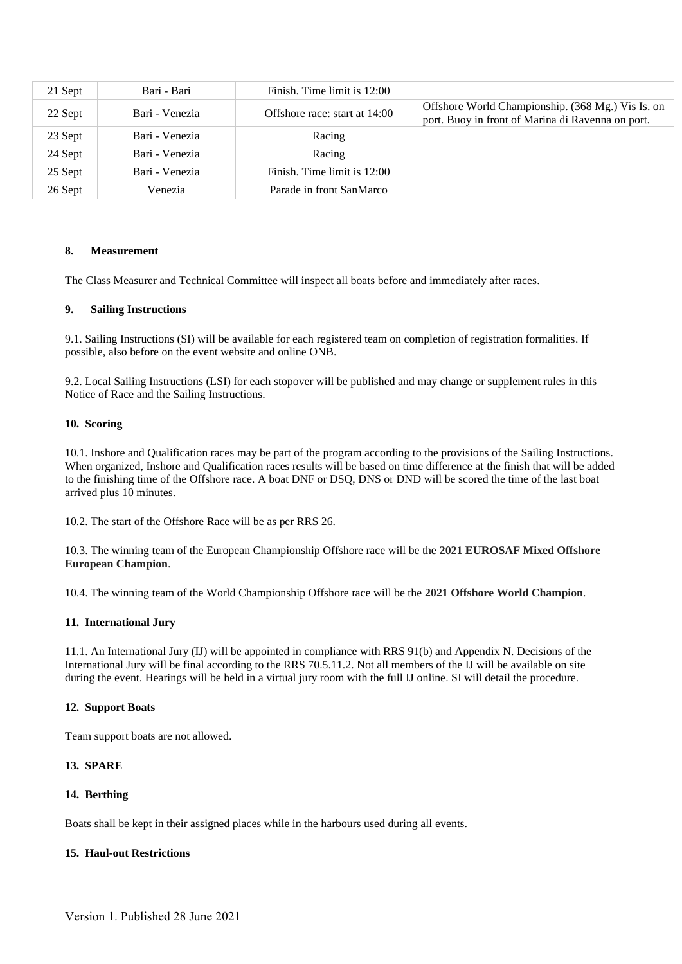| 21 Sept | Bari - Bari    | Finish. Time limit is 12:00   |                                                                                                        |
|---------|----------------|-------------------------------|--------------------------------------------------------------------------------------------------------|
| 22 Sept | Bari - Venezia | Offshore race: start at 14:00 | Offshore World Championship. (368 Mg.) Vis Is. on<br>port. Buoy in front of Marina di Ravenna on port. |
| 23 Sept | Bari - Venezia | Racing                        |                                                                                                        |
| 24 Sept | Bari - Venezia | Racing                        |                                                                                                        |
| 25 Sept | Bari - Venezia | Finish. Time limit is 12:00   |                                                                                                        |
| 26 Sept | Venezia        | Parade in front SanMarco      |                                                                                                        |

## **8. Measurement**

The Class Measurer and Technical Committee will inspect all boats before and immediately after races.

### **9. Sailing Instructions**

9.1. Sailing Instructions (SI) will be available for each registered team on completion of registration formalities. If possible, also before on the event website and online ONB.

9.2. Local Sailing Instructions (LSI) for each stopover will be published and may change or supplement rules in this Notice of Race and the Sailing Instructions.

#### **10. Scoring**

10.1. Inshore and Qualification races may be part of the program according to the provisions of the Sailing Instructions. When organized, Inshore and Qualification races results will be based on time difference at the finish that will be added to the finishing time of the Offshore race. A boat DNF or DSQ, DNS or DND will be scored the time of the last boat arrived plus 10 minutes.

10.2. The start of the Offshore Race will be as per RRS 26.

10.3. The winning team of the European Championship Offshore race will be the **2021 EUROSAF Mixed Offshore European Champion**.

10.4. The winning team of the World Championship Offshore race will be the **2021 Offshore World Champion**.

## **11. International Jury**

11.1. An International Jury (IJ) will be appointed in compliance with RRS 91(b) and Appendix N. Decisions of the International Jury will be final according to the RRS 70.5.11.2. Not all members of the IJ will be available on site during the event. Hearings will be held in a virtual jury room with the full IJ online. SI will detail the procedure.

### **12. Support Boats**

Team support boats are not allowed.

## **13. SPARE**

## **14. Berthing**

Boats shall be kept in their assigned places while in the harbours used during all events.

## **15. Haul-out Restrictions**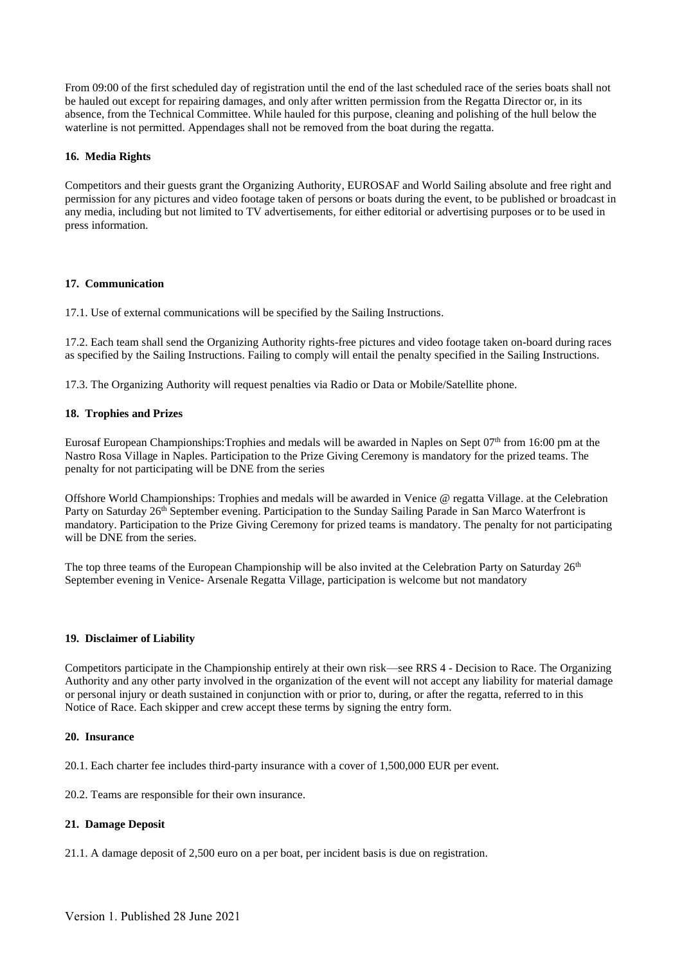From 09:00 of the first scheduled day of registration until the end of the last scheduled race of the series boats shall not be hauled out except for repairing damages, and only after written permission from the Regatta Director or, in its absence, from the Technical Committee. While hauled for this purpose, cleaning and polishing of the hull below the waterline is not permitted. Appendages shall not be removed from the boat during the regatta.

# **16. Media Rights**

Competitors and their guests grant the Organizing Authority, EUROSAF and World Sailing absolute and free right and permission for any pictures and video footage taken of persons or boats during the event, to be published or broadcast in any media, including but not limited to TV advertisements, for either editorial or advertising purposes or to be used in press information.

## **17. Communication**

17.1. Use of external communications will be specified by the Sailing Instructions.

17.2. Each team shall send the Organizing Authority rights-free pictures and video footage taken on-board during races as specified by the Sailing Instructions. Failing to comply will entail the penalty specified in the Sailing Instructions.

17.3. The Organizing Authority will request penalties via Radio or Data or Mobile/Satellite phone.

# **18. Trophies and Prizes**

Eurosaf European Championships:Trophies and medals will be awarded in Naples on Sept 07th from 16:00 pm at the Nastro Rosa Village in Naples. Participation to the Prize Giving Ceremony is mandatory for the prized teams. The penalty for not participating will be DNE from the series

Offshore World Championships: Trophies and medals will be awarded in Venice @ regatta Village. at the Celebration Party on Saturday 26<sup>th</sup> September evening. Participation to the Sunday Sailing Parade in San Marco Waterfront is mandatory. Participation to the Prize Giving Ceremony for prized teams is mandatory. The penalty for not participating will be DNE from the series.

The top three teams of the European Championship will be also invited at the Celebration Party on Saturday 26<sup>th</sup> September evening in Venice- Arsenale Regatta Village, participation is welcome but not mandatory

## **19. Disclaimer of Liability**

Competitors participate in the Championship entirely at their own risk—see RRS 4 - Decision to Race. The Organizing Authority and any other party involved in the organization of the event will not accept any liability for material damage or personal injury or death sustained in conjunction with or prior to, during, or after the regatta, referred to in this Notice of Race. Each skipper and crew accept these terms by signing the entry form.

## **20. Insurance**

20.1. Each charter fee includes third-party insurance with a cover of 1,500,000 EUR per event.

20.2. Teams are responsible for their own insurance.

## **21. Damage Deposit**

21.1. A damage deposit of 2,500 euro on a per boat, per incident basis is due on registration.